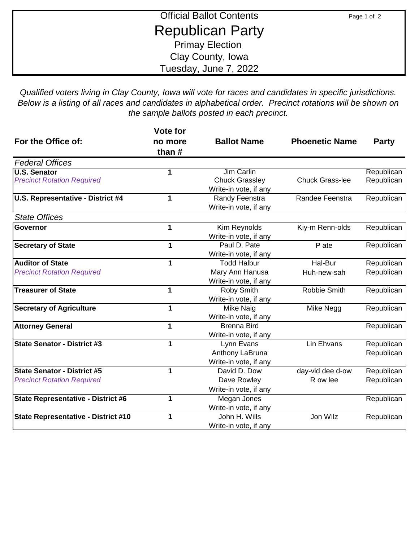| <b>Official Ballot Contents</b> | Page 1 of 2 |
|---------------------------------|-------------|
| <b>Republican Party</b>         |             |
| <b>Primay Election</b>          |             |
| Clay County, Iowa               |             |
| Tuesday, June 7, 2022           |             |

*Qualified voters living in Clay County, Iowa will vote for races and candidates in specific jurisdictions. Below is a listing of all races and candidates in alphabetical order. Precinct rotations will be shown on the sample ballots posted in each precinct.*

| For the Office of:                         | Vote for<br>no more | <b>Ballot Name</b>    | <b>Phoenetic Name</b>  | <b>Party</b> |
|--------------------------------------------|---------------------|-----------------------|------------------------|--------------|
|                                            | than #              |                       |                        |              |
| <b>Federal Offices</b>                     |                     |                       |                        |              |
| <b>U.S. Senator</b>                        |                     | <b>Jim Carlin</b>     |                        | Republican   |
| <b>Precinct Rotation Required</b>          |                     | <b>Chuck Grassley</b> | <b>Chuck Grass-lee</b> | Republican   |
|                                            |                     | Write-in vote, if any |                        |              |
| U.S. Representative - District #4          | 1                   | Randy Feenstra        | Randee Feenstra        | Republican   |
|                                            |                     | Write-in vote, if any |                        |              |
| <b>State Offices</b>                       |                     |                       |                        |              |
| <b>Governor</b>                            | 1                   | Kim Reynolds          | Kiy-m Renn-olds        | Republican   |
|                                            |                     | Write-in vote, if any |                        |              |
| <b>Secretary of State</b>                  |                     | Paul D. Pate          | P ate                  | Republican   |
|                                            |                     | Write-in vote, if any |                        |              |
| <b>Auditor of State</b>                    | 1                   | <b>Todd Halbur</b>    | Hal-Bur                | Republican   |
| <b>Precinct Rotation Required</b>          |                     | Mary Ann Hanusa       | Huh-new-sah            | Republican   |
|                                            |                     | Write-in vote, if any |                        |              |
| <b>Treasurer of State</b>                  | 1                   | Roby Smith            | Robbie Smith           | Republican   |
|                                            |                     | Write-in vote, if any |                        |              |
| <b>Secretary of Agriculture</b>            | 1                   | Mike Naig             | Mike Negg              | Republican   |
|                                            |                     | Write-in vote, if any |                        |              |
| <b>Attorney General</b>                    | 1                   | <b>Brenna Bird</b>    |                        | Republican   |
|                                            |                     | Write-in vote, if any |                        |              |
| <b>State Senator - District #3</b>         | 1                   | Lynn Evans            | Lin Ehvans             | Republican   |
|                                            |                     | Anthony LaBruna       |                        | Republican   |
|                                            |                     | Write-in vote, if any |                        |              |
| <b>State Senator - District #5</b>         |                     | David D. Dow          | day-vid dee d-ow       | Republican   |
| <b>Precinct Rotation Required</b>          |                     | Dave Rowley           | R ow lee               | Republican   |
|                                            |                     | Write-in vote, if any |                        |              |
| <b>State Representative - District #6</b>  | 1                   | Megan Jones           |                        | Republican   |
|                                            |                     | Write-in vote, if any |                        |              |
| <b>State Representative - District #10</b> | 1                   | John H. Wills         | Jon Wilz               | Republican   |
|                                            |                     | Write-in vote, if any |                        |              |